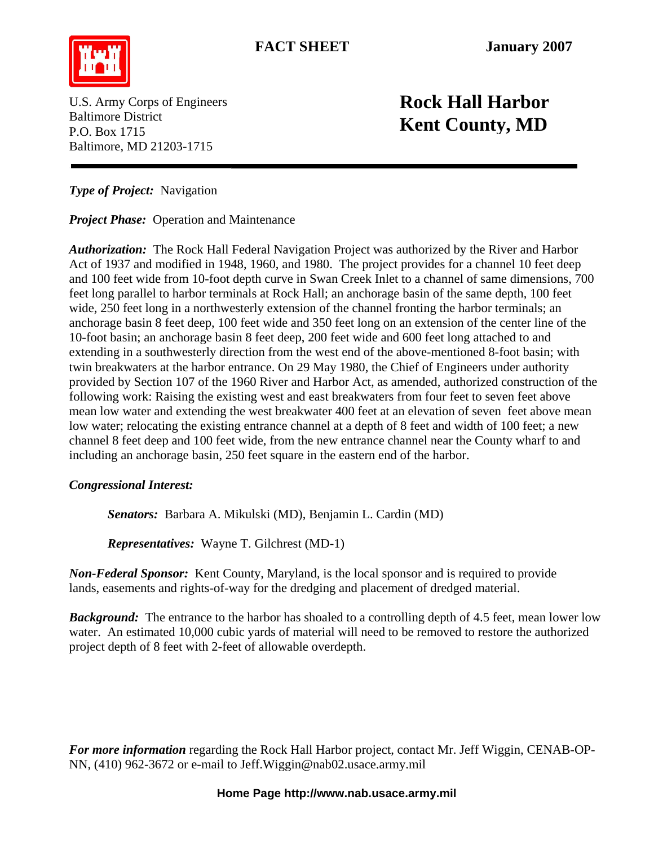

U.S. Army Corps of Engineers Baltimore District P.O. Box 1715 Baltimore, MD 21203-1715

## **Rock Hall Harbor Kent County, MD**

*Type of Project:* Navigation

*Project Phase:* Operation and Maintenance

*Authorization:* The Rock Hall Federal Navigation Project was authorized by the River and Harbor Act of 1937 and modified in 1948, 1960, and 1980. The project provides for a channel 10 feet deep and 100 feet wide from 10-foot depth curve in Swan Creek Inlet to a channel of same dimensions, 700 feet long parallel to harbor terminals at Rock Hall; an anchorage basin of the same depth, 100 feet wide, 250 feet long in a northwesterly extension of the channel fronting the harbor terminals; an anchorage basin 8 feet deep, 100 feet wide and 350 feet long on an extension of the center line of the 10-foot basin; an anchorage basin 8 feet deep, 200 feet wide and 600 feet long attached to and extending in a southwesterly direction from the west end of the above-mentioned 8-foot basin; with twin breakwaters at the harbor entrance. On 29 May 1980, the Chief of Engineers under authority provided by Section 107 of the 1960 River and Harbor Act, as amended, authorized construction of the following work: Raising the existing west and east breakwaters from four feet to seven feet above mean low water and extending the west breakwater 400 feet at an elevation of seven feet above mean low water; relocating the existing entrance channel at a depth of 8 feet and width of 100 feet; a new channel 8 feet deep and 100 feet wide, from the new entrance channel near the County wharf to and including an anchorage basin, 250 feet square in the eastern end of the harbor.

## *Congressional Interest:*

 *Senators:* Barbara A. Mikulski (MD), Benjamin L. Cardin (MD)

*Representatives:* Wayne T. Gilchrest (MD-1)

*Non-Federal Sponsor:* Kent County, Maryland, is the local sponsor and is required to provide lands, easements and rights-of-way for the dredging and placement of dredged material.

*Background:* The entrance to the harbor has shoaled to a controlling depth of 4.5 feet, mean lower low water. An estimated 10,000 cubic yards of material will need to be removed to restore the authorized project depth of 8 feet with 2-feet of allowable overdepth.

*For more information* regarding the Rock Hall Harbor project, contact Mr. Jeff Wiggin, CENAB-OP-NN, (410) 962-3672 or e-mail to [Jeff.Wiggin@nab02.usace.army.mil](mailto:Jeff.Wiggin@nab02.usace.army.mil)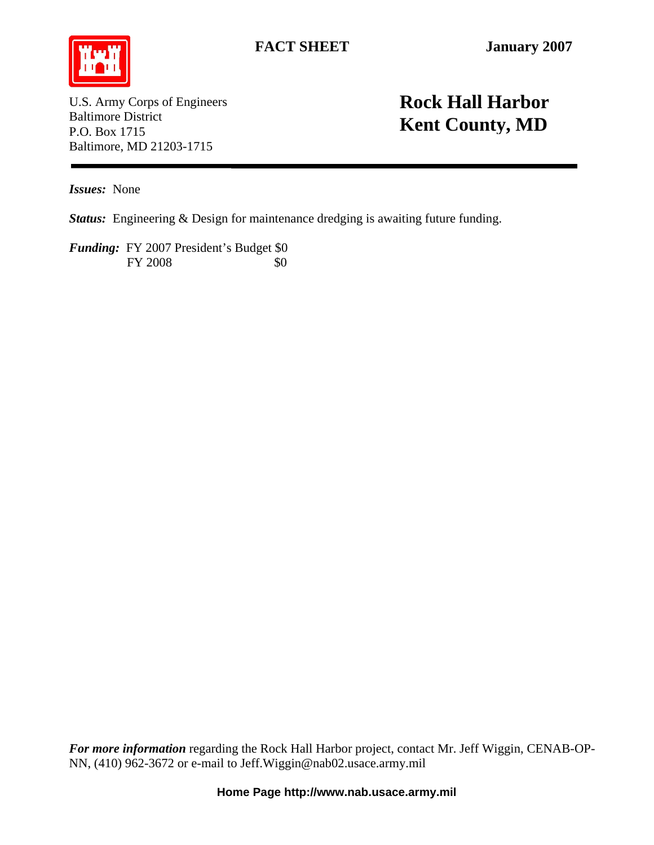

U.S. Army Corps of Engineers Baltimore District P.O. Box 1715 Baltimore, MD 21203-1715

## **Rock Hall Harbor Kent County, MD**

*Issues:* None

*Status:* Engineering & Design for maintenance dredging is awaiting future funding.

*Funding:* FY 2007 President's Budget \$0 FY 2008 \$0

*For more information* regarding the Rock Hall Harbor project, contact Mr. Jeff Wiggin, CENAB-OP-NN, (410) 962-3672 or e-mail to [Jeff.Wiggin@nab02.usace.army.mil](mailto:Jeff.Wiggin@nab02.usace.army.mil)